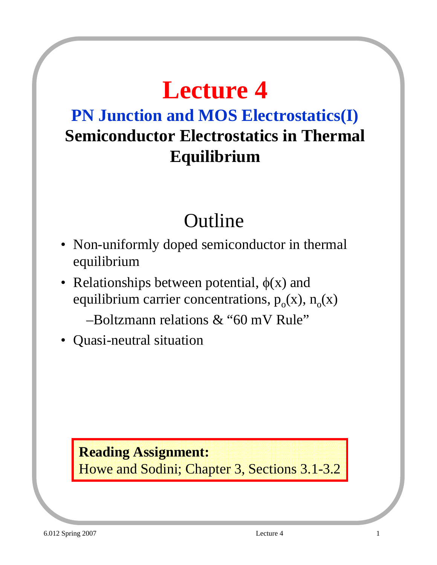# **Lecture 4**

### **PN Junction and MOS Electrostatics(I) Semiconductor Electrostatics in Thermal Equilibrium**

## Outline

- Non-uniformly doped semiconductor in thermal equilibrium
- Relationships between potential,  $\phi(x)$  and equilibrium carrier concentrations,  $p_0(x)$ ,  $n_0(x)$ 
	- –Boltzmann relations & "60 mV Rule"
- Quasi-neutral situation

**Reading Assignment:** Howe and Sodini; Chapter 3, Sections 3.1-3.2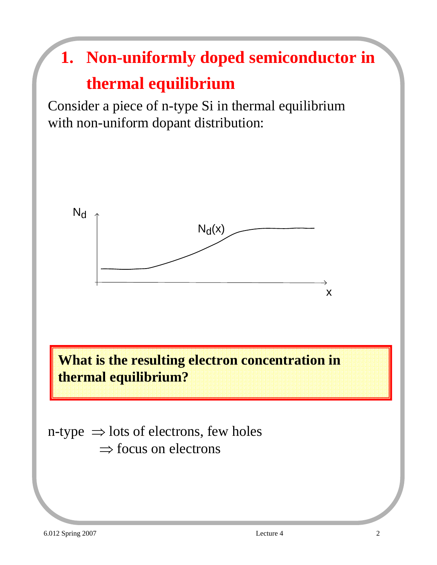# **1. Non-uniformly doped semiconductor in thermal equilibrium**

Consider a piece of n-type Si in thermal equilibrium with non-uniform dopant distribution:



**What is the resulting electron concentration in thermal equilibrium?**

n-type  $\Rightarrow$  lots of electrons, few holes  $\Rightarrow$  focus on electrons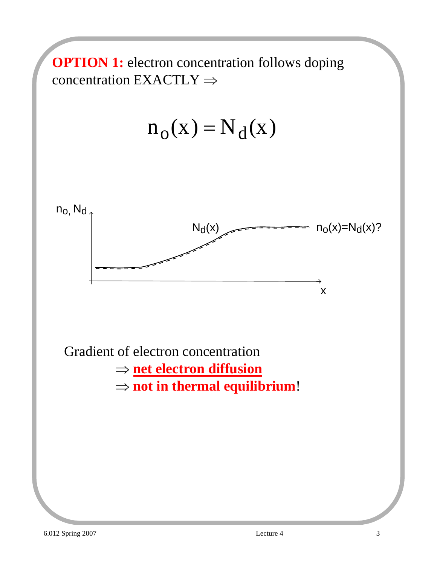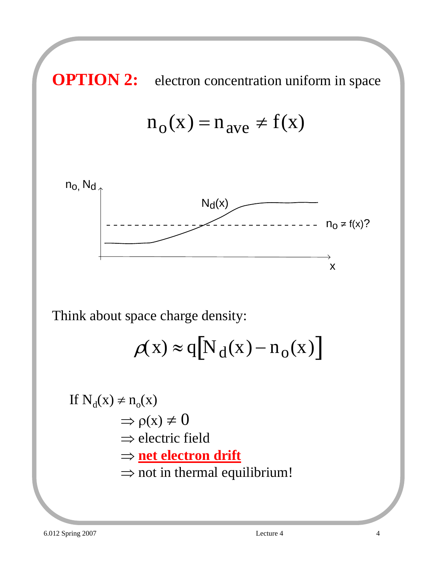**OPTION 2:** electron concentration uniform in space

$$
n_o(x) = n_{ave} \neq f(x)
$$



Think about space charge density:

$$
\rho(x) \approx q \big[ N_d(x) - n_o(x) \big]
$$

If N<sub>d</sub>(x) 
$$
\neq
$$
 n<sub>o</sub>(x)  
\n $\Rightarrow$   $\rho$ (x)  $\neq$  0  
\n $\Rightarrow$  electric field  
\n $\Rightarrow$  **net electron drift**  
\n $\Rightarrow$  not in thermal equilibrium!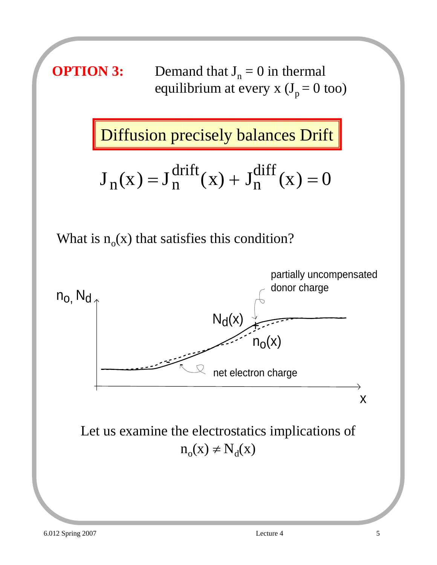

What is  $n_0(x)$  that satisfies this condition?

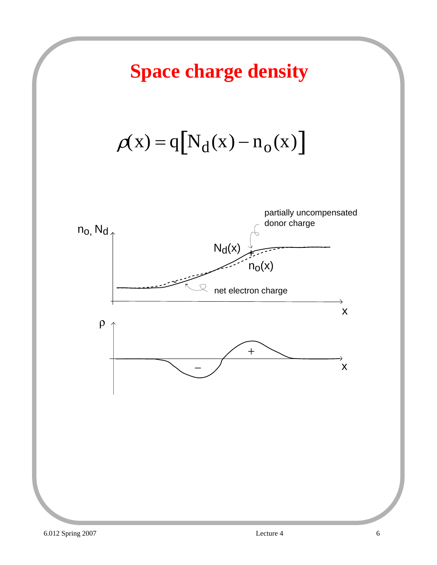## **Space charge density**

 $\rho(x) = q[N_d(x) - n_o(x)]$ 

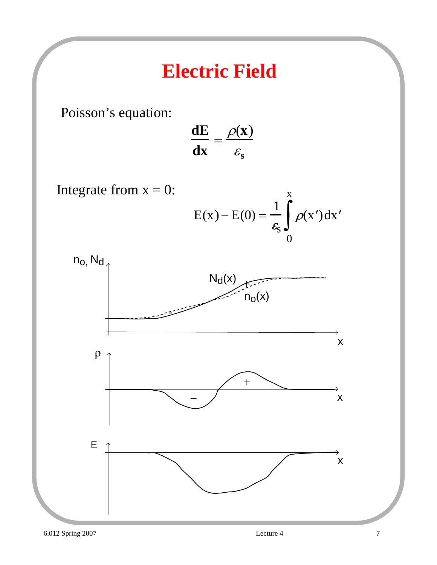## **Electric Field**

Poisson's equation:

$$
\frac{dE}{dx} = \frac{\rho(x)}{\varepsilon_s}
$$

Integrate from  $x = 0$ :  $E(x) - E(0) = \frac{1}{x}$  $\mathcal{E}_{\text{S}}$  $\rho$ (x')dx' 0 x ∫

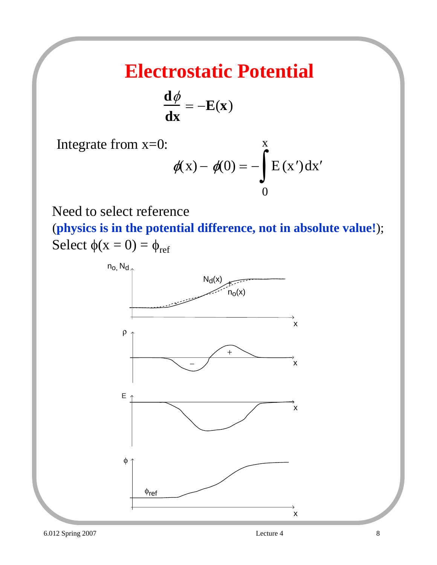### **Electrostatic Potential**

$$
\frac{\mathrm{d}\phi}{\mathrm{d}x} = -E(x)
$$

Integrate from x=0:

$$
\phi(x) - \phi(0) = -\int_{0}^{x} E(x') dx'
$$

Need to select reference

(**physics is in the potential difference, not in absolute value!**); Select  $\phi(x = 0) = \phi_{ref}$ 

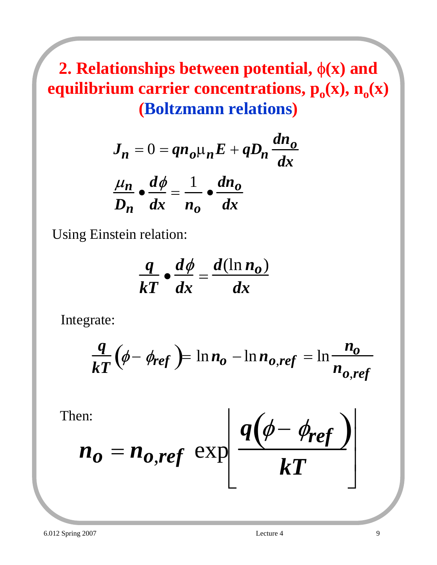### **2. Relationships between potential,** φ**(x) and equilibrium carrier concentrations,**  $p_o(x)$ **,**  $n_o(x)$ **(Boltzmann relations)**

$$
J_n = 0 = q n_o \mu_n E + q D_n \frac{dn_o}{dx}
$$

$$
\frac{\mu_n}{D_n} \cdot \frac{d\phi}{dx} = \frac{1}{n_o} \cdot \frac{dn_o}{dx}
$$

Using Einstein relation:

$$
\frac{q}{kT} \bullet \frac{d\phi}{dx} = \frac{d(\ln n_o)}{dx}
$$

Integrate:

$$
\frac{q}{kT}(\phi - \phi_{ref}) = \ln n_o - \ln n_{o,ref} = \ln \frac{n_o}{n_{o,ref}}
$$

 $\mathbf{I}$ 

Then:

$$
n_o = n_{o,ref} \exp\left[\frac{q(\phi - \phi_{ref})}{kT}\right]
$$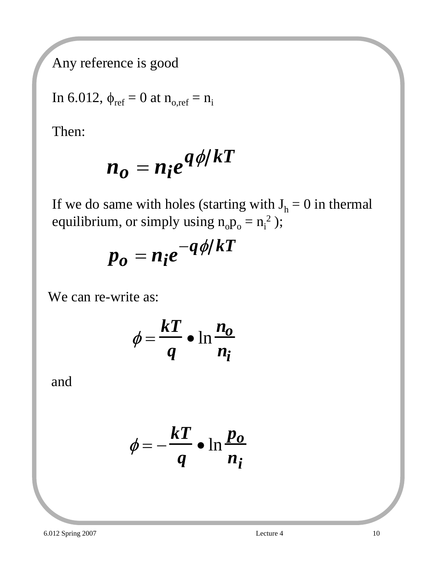Any reference is good

In 6.012, 
$$
\phi_{ref} = 0
$$
 at  $n_{o,ref} = n_i$ 

Then:

$$
n_o = n_i e^{q\phi/kT}
$$

If we do same with holes (starting with  $J_h = 0$  in thermal equilibrium, or simply using  $n_0p_0 = n_i^2$  );

$$
p_o = n_i e^{-q\phi/kT}
$$

We can re-write as:

$$
\phi = \frac{kT}{q} \bullet \ln \frac{n_o}{n_i}
$$

and

$$
\phi = -\frac{kT}{q} \bullet \ln \frac{p_o}{n_i}
$$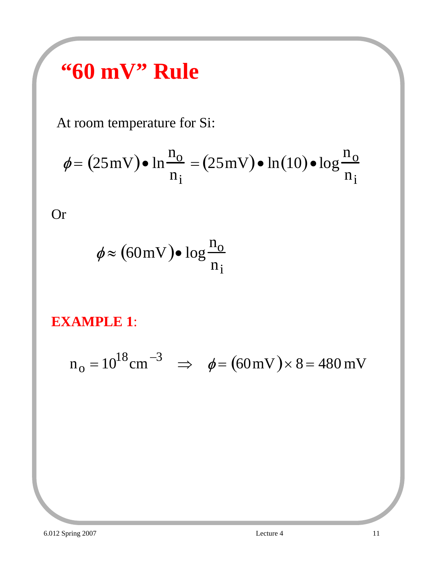# **"60 mV" Rule**

At room temperature for Si:

$$
\phi = (25 \,\text{mV}) \bullet \ln \frac{\text{n}_0}{\text{n}_i} = (25 \,\text{mV}) \bullet \ln(10) \bullet \log \frac{\text{n}_0}{\text{n}_i}
$$

Or

$$
\phi \approx (60 \,\text{mV}) \bullet \log \frac{\text{n}_0}{\text{n}_1}
$$

#### **EXAMPLE 1**:

$$
n_o = 10^{18} \text{cm}^{-3} \implies \phi = (60 \text{mV}) \times 8 = 480 \text{mV}
$$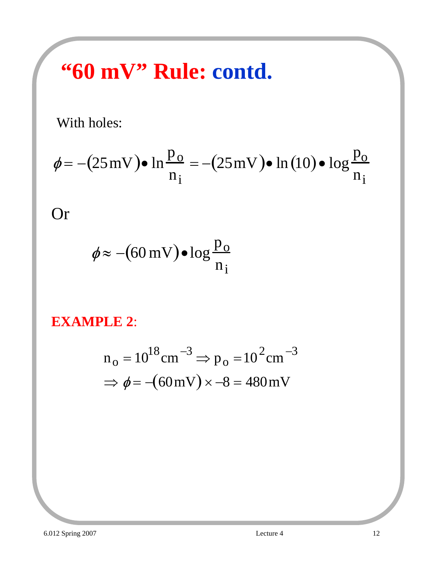# **"60 mV" Rule: contd.**

With holes:

$$
\phi = -(25 \,\mathrm{mV}) \bullet \ln \frac{\mathrm{p}_o}{\mathrm{n}_i} = -(25 \,\mathrm{mV}) \bullet \ln(10) \bullet \log \frac{\mathrm{p}_o}{\mathrm{n}_i}
$$

Or

$$
\phi \approx -(60 \,\mathrm{mV}) \bullet \log \frac{\mathrm{p}_o}{\mathrm{n}_i}
$$

#### **EXAMPLE 2**:

$$
n_o = 10^{18} \text{cm}^{-3} \Rightarrow p_o = 10^2 \text{cm}^{-3}
$$
  
\n
$$
\Rightarrow \phi = -(60 \text{mV}) \times -8 = 480 \text{mV}
$$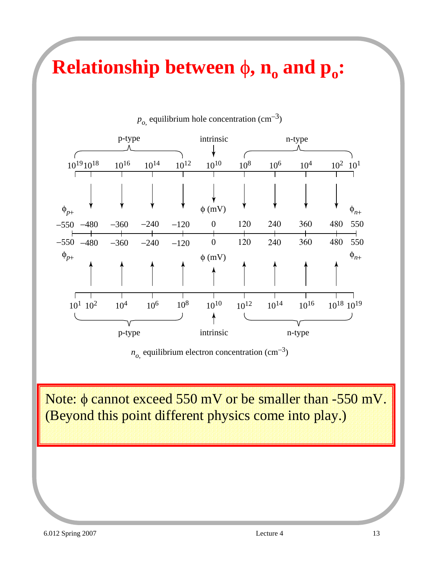## **Relationship between**  $\phi$ **,**  $n_o$  **and**  $p_o$ **:**



 $p<sub>o</sub>$  equilibrium hole concentration (cm<sup>-3</sup>)

 $n<sub>o</sub>$  equilibrium electron concentration (cm<sup>-3</sup>)

Note: φ cannot exceed 550 mV or be smaller than -550 mV. (Beyond this point different physics come into play.)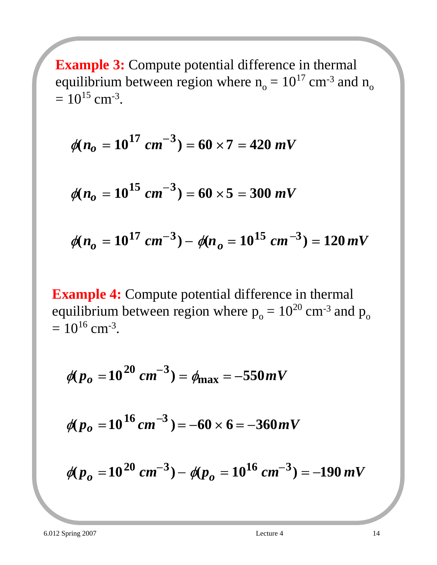**Example 3:** Compute potential difference in thermal equilibrium between region where  $n_0 = 10^{17}$  cm<sup>-3</sup> and  $n_0$  $= 10^{15}$  cm<sup>-3</sup>.

$$
\phi(n_o = 10^{17} \text{ cm}^{-3}) = 60 \times 7 = 420 \text{ mV}
$$

$$
\phi(n_o = 10^{15} \text{ cm}^{-3}) = 60 \times 5 = 300 \text{ mV}
$$

$$
\phi(n_o = 10^{17} \text{ cm}^{-3}) - \phi(n_o = 10^{15} \text{ cm}^{-3}) = 120 \text{ mV}
$$

**Example 4:** Compute potential difference in thermal equilibrium between region where  $p_0 = 10^{20}$  cm<sup>-3</sup> and  $p_0$  $= 10^{16}$  cm<sup>-3</sup>.

$$
\phi(p_o = 10^{20} \text{ cm}^{-3}) = \phi_{\text{max}} = -550 \text{ mV}
$$

$$
\phi(p_o = 10^{16} \, \text{cm}^{-3}) = -60 \times 6 = -360 \, \text{mV}
$$

$$
\phi(p_o = 10^{20} \text{ cm}^{-3}) - \phi(p_o = 10^{16} \text{ cm}^{-3}) = -190 \text{ mV}
$$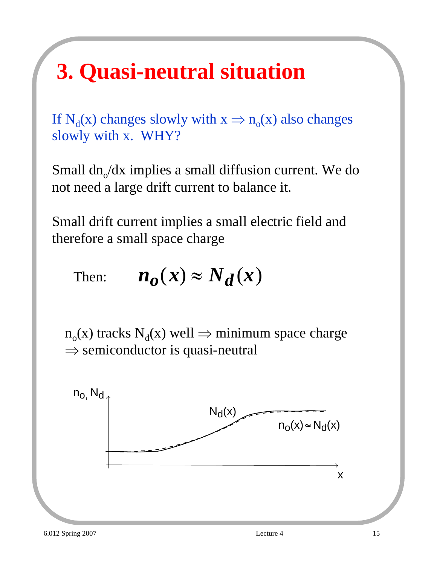# **3. Quasi-neutral situation**

If N<sub>d</sub>(x) changes slowly with  $x \Rightarrow n_0(x)$  also changes slowly with x. WHY?

Small  $dn<sub>o</sub>/dx$  implies a small diffusion current. We do not need a large drift current to balance it.

Small drift current implies a small electric field and therefore a small space charge

Then:  $n_{\rho}(x) \approx N_d(x)$ 

 $n_0(x)$  tracks  $N_d(x)$  well  $\Rightarrow$  minimum space charge  $\Rightarrow$  semiconductor is quasi-neutral